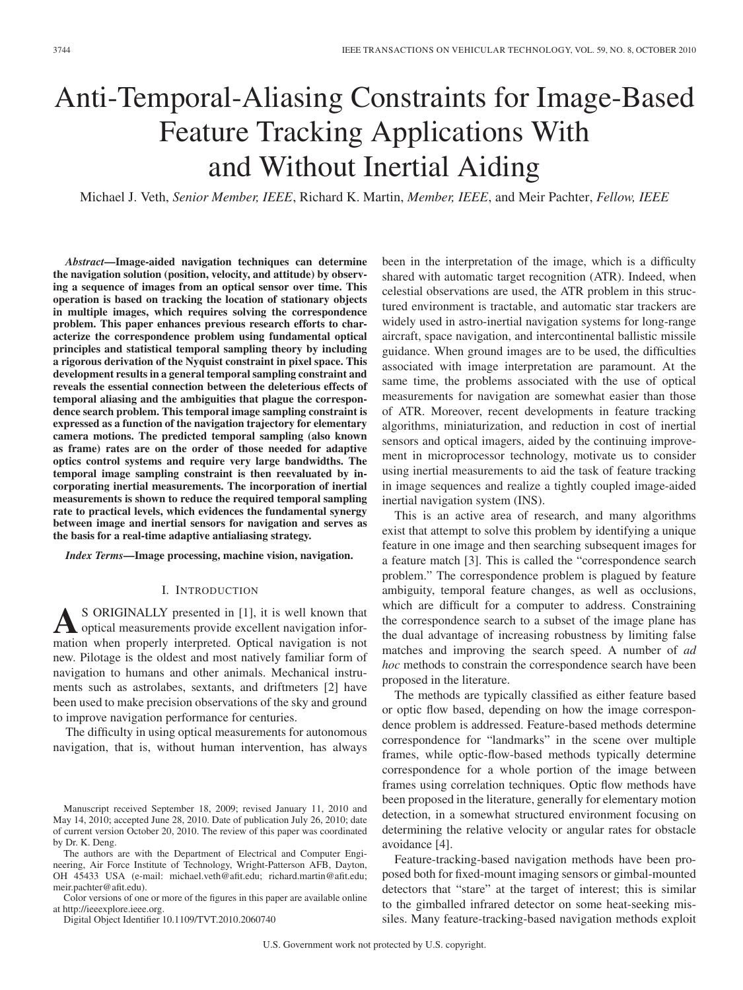# Anti-Temporal-Aliasing Constraints for Image-Based Feature Tracking Applications With and Without Inertial Aiding

Michael J. Veth, *Senior Member, IEEE*, Richard K. Martin, *Member, IEEE*, and Meir Pachter, *Fellow, IEEE*

*Abstract***—Image-aided navigation techniques can determine the navigation solution (position, velocity, and attitude) by observing a sequence of images from an optical sensor over time. This operation is based on tracking the location of stationary objects in multiple images, which requires solving the correspondence problem. This paper enhances previous research efforts to characterize the correspondence problem using fundamental optical principles and statistical temporal sampling theory by including a rigorous derivation of the Nyquist constraint in pixel space. This development results in a general temporal sampling constraint and reveals the essential connection between the deleterious effects of temporal aliasing and the ambiguities that plague the correspondence search problem. This temporal image sampling constraint is expressed as a function of the navigation trajectory for elementary camera motions. The predicted temporal sampling (also known as frame) rates are on the order of those needed for adaptive optics control systems and require very large bandwidths. The temporal image sampling constraint is then reevaluated by incorporating inertial measurements. The incorporation of inertial measurements is shown to reduce the required temporal sampling rate to practical levels, which evidences the fundamental synergy between image and inertial sensors for navigation and serves as the basis for a real-time adaptive antialiasing strategy.**

*Index Terms***—Image processing, machine vision, navigation.**

#### I. INTRODUCTION

**A**S ORIGINALLY presented in [1], it is well known that optical measurements provide excellent navigation information when properly interpreted. Optical navigation is not new. Pilotage is the oldest and most natively familiar form of navigation to humans and other animals. Mechanical instruments such as astrolabes, sextants, and driftmeters [2] have been used to make precision observations of the sky and ground to improve navigation performance for centuries.

The difficulty in using optical measurements for autonomous navigation, that is, without human intervention, has always

Color versions of one or more of the figures in this paper are available online at http://ieeexplore.ieee.org.

Digital Object Identifier 10.1109/TVT.2010.2060740

been in the interpretation of the image, which is a difficulty shared with automatic target recognition (ATR). Indeed, when celestial observations are used, the ATR problem in this structured environment is tractable, and automatic star trackers are widely used in astro-inertial navigation systems for long-range aircraft, space navigation, and intercontinental ballistic missile guidance. When ground images are to be used, the difficulties associated with image interpretation are paramount. At the same time, the problems associated with the use of optical measurements for navigation are somewhat easier than those of ATR. Moreover, recent developments in feature tracking algorithms, miniaturization, and reduction in cost of inertial sensors and optical imagers, aided by the continuing improvement in microprocessor technology, motivate us to consider using inertial measurements to aid the task of feature tracking in image sequences and realize a tightly coupled image-aided inertial navigation system (INS).

This is an active area of research, and many algorithms exist that attempt to solve this problem by identifying a unique feature in one image and then searching subsequent images for a feature match [3]. This is called the "correspondence search problem." The correspondence problem is plagued by feature ambiguity, temporal feature changes, as well as occlusions, which are difficult for a computer to address. Constraining the correspondence search to a subset of the image plane has the dual advantage of increasing robustness by limiting false matches and improving the search speed. A number of *ad hoc* methods to constrain the correspondence search have been proposed in the literature.

The methods are typically classified as either feature based or optic flow based, depending on how the image correspondence problem is addressed. Feature-based methods determine correspondence for "landmarks" in the scene over multiple frames, while optic-flow-based methods typically determine correspondence for a whole portion of the image between frames using correlation techniques. Optic flow methods have been proposed in the literature, generally for elementary motion detection, in a somewhat structured environment focusing on determining the relative velocity or angular rates for obstacle avoidance [4].

Feature-tracking-based navigation methods have been proposed both for fixed-mount imaging sensors or gimbal-mounted detectors that "stare" at the target of interest; this is similar to the gimballed infrared detector on some heat-seeking missiles. Many feature-tracking-based navigation methods exploit

Manuscript received September 18, 2009; revised January 11, 2010 and May 14, 2010; accepted June 28, 2010. Date of publication July 26, 2010; date of current version October 20, 2010. The review of this paper was coordinated by Dr. K. Deng.

The authors are with the Department of Electrical and Computer Engineering, Air Force Institute of Technology, Wright-Patterson AFB, Dayton, OH 45433 USA (e-mail: michael.veth@afit.edu; richard.martin@afit.edu; meir.pachter@afit.edu).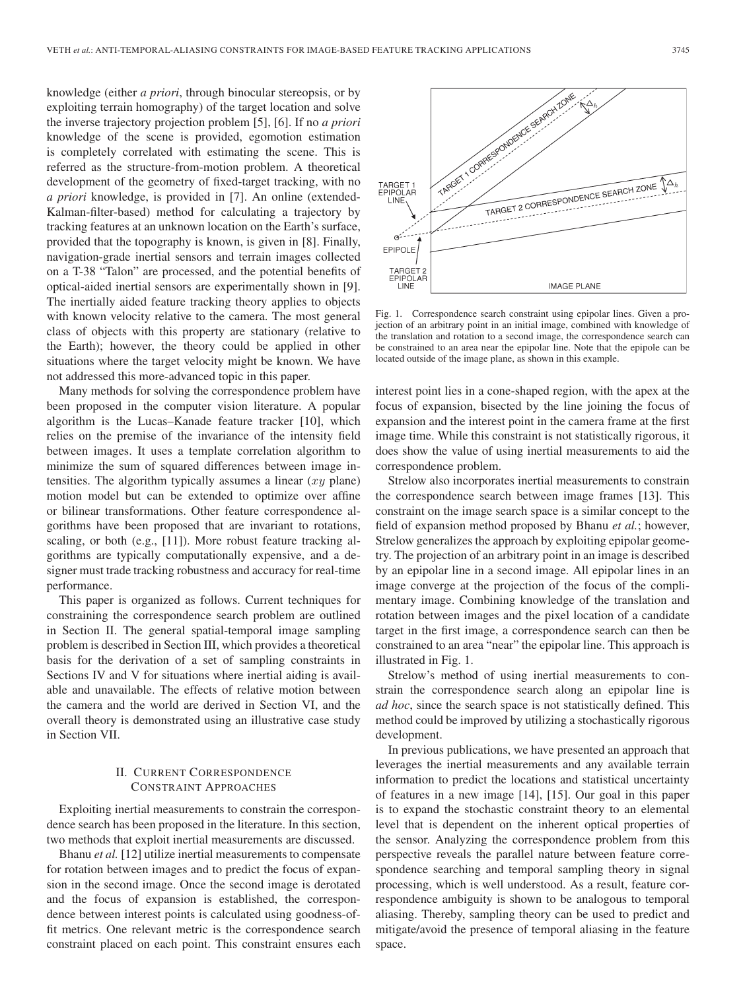knowledge (either *a priori*, through binocular stereopsis, or by exploiting terrain homography) of the target location and solve the inverse trajectory projection problem [5], [6]. If no *a priori* knowledge of the scene is provided, egomotion estimation is completely correlated with estimating the scene. This is referred as the structure-from-motion problem. A theoretical development of the geometry of fixed-target tracking, with no *a priori* knowledge, is provided in [7]. An online (extended-Kalman-filter-based) method for calculating a trajectory by tracking features at an unknown location on the Earth's surface, provided that the topography is known, is given in [8]. Finally, navigation-grade inertial sensors and terrain images collected on a T-38 "Talon" are processed, and the potential benefits of optical-aided inertial sensors are experimentally shown in [9]. The inertially aided feature tracking theory applies to objects with known velocity relative to the camera. The most general class of objects with this property are stationary (relative to the Earth); however, the theory could be applied in other situations where the target velocity might be known. We have not addressed this more-advanced topic in this paper.

Many methods for solving the correspondence problem have been proposed in the computer vision literature. A popular algorithm is the Lucas–Kanade feature tracker [10], which relies on the premise of the invariance of the intensity field between images. It uses a template correlation algorithm to minimize the sum of squared differences between image intensities. The algorithm typically assumes a linear  $(xy$  plane) motion model but can be extended to optimize over affine or bilinear transformations. Other feature correspondence algorithms have been proposed that are invariant to rotations, scaling, or both (e.g., [11]). More robust feature tracking algorithms are typically computationally expensive, and a designer must trade tracking robustness and accuracy for real-time performance.

This paper is organized as follows. Current techniques for constraining the correspondence search problem are outlined in Section II. The general spatial-temporal image sampling problem is described in Section III, which provides a theoretical basis for the derivation of a set of sampling constraints in Sections IV and V for situations where inertial aiding is available and unavailable. The effects of relative motion between the camera and the world are derived in Section VI, and the overall theory is demonstrated using an illustrative case study in Section VII.

# II. CURRENT CORRESPONDENCE CONSTRAINT APPROACHES

Exploiting inertial measurements to constrain the correspondence search has been proposed in the literature. In this section, two methods that exploit inertial measurements are discussed.

Bhanu *et al.* [12] utilize inertial measurements to compensate for rotation between images and to predict the focus of expansion in the second image. Once the second image is derotated and the focus of expansion is established, the correspondence between interest points is calculated using goodness-offit metrics. One relevant metric is the correspondence search constraint placed on each point. This constraint ensures each



Fig. 1. Correspondence search constraint using epipolar lines. Given a projection of an arbitrary point in an initial image, combined with knowledge of the translation and rotation to a second image, the correspondence search can be constrained to an area near the epipolar line. Note that the epipole can be located outside of the image plane, as shown in this example.

interest point lies in a cone-shaped region, with the apex at the focus of expansion, bisected by the line joining the focus of expansion and the interest point in the camera frame at the first image time. While this constraint is not statistically rigorous, it does show the value of using inertial measurements to aid the correspondence problem.

Strelow also incorporates inertial measurements to constrain the correspondence search between image frames [13]. This constraint on the image search space is a similar concept to the field of expansion method proposed by Bhanu *et al.*; however, Strelow generalizes the approach by exploiting epipolar geometry. The projection of an arbitrary point in an image is described by an epipolar line in a second image. All epipolar lines in an image converge at the projection of the focus of the complimentary image. Combining knowledge of the translation and rotation between images and the pixel location of a candidate target in the first image, a correspondence search can then be constrained to an area "near" the epipolar line. This approach is illustrated in Fig. 1.

Strelow's method of using inertial measurements to constrain the correspondence search along an epipolar line is *ad hoc*, since the search space is not statistically defined. This method could be improved by utilizing a stochastically rigorous development.

In previous publications, we have presented an approach that leverages the inertial measurements and any available terrain information to predict the locations and statistical uncertainty of features in a new image [14], [15]. Our goal in this paper is to expand the stochastic constraint theory to an elemental level that is dependent on the inherent optical properties of the sensor. Analyzing the correspondence problem from this perspective reveals the parallel nature between feature correspondence searching and temporal sampling theory in signal processing, which is well understood. As a result, feature correspondence ambiguity is shown to be analogous to temporal aliasing. Thereby, sampling theory can be used to predict and mitigate/avoid the presence of temporal aliasing in the feature space.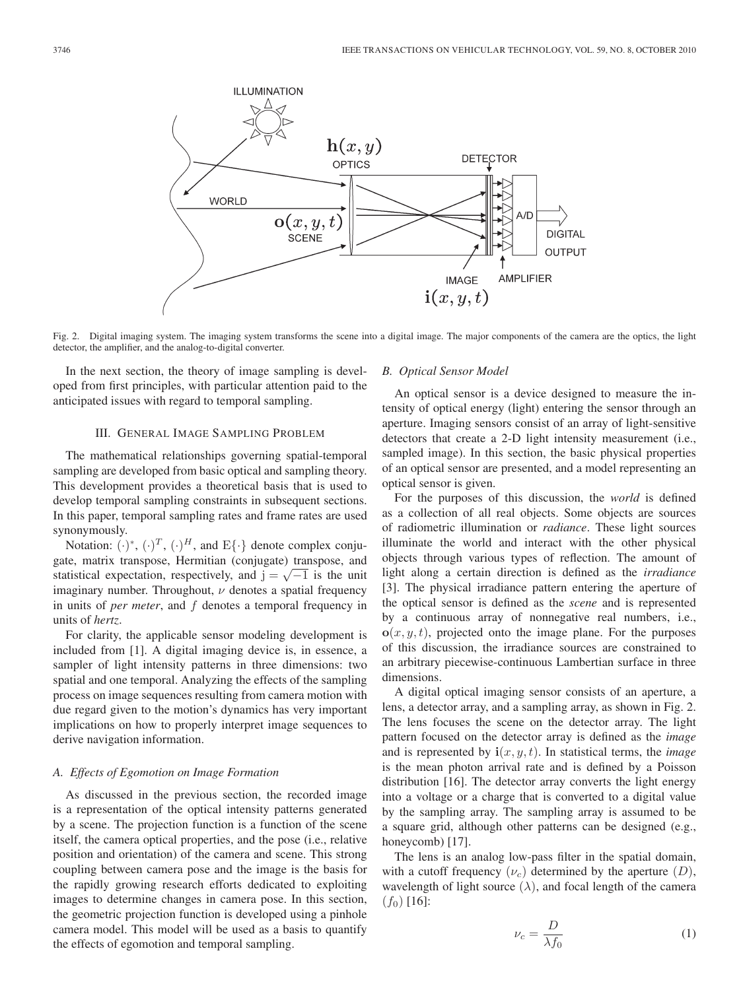

Fig. 2. Digital imaging system. The imaging system transforms the scene into a digital image. The major components of the camera are the optics, the light detector, the amplifier, and the analog-to-digital converter.

In the next section, the theory of image sampling is developed from first principles, with particular attention paid to the anticipated issues with regard to temporal sampling.

# III. GENERAL IMAGE SAMPLING PROBLEM

The mathematical relationships governing spatial-temporal sampling are developed from basic optical and sampling theory. This development provides a theoretical basis that is used to develop temporal sampling constraints in subsequent sections. In this paper, temporal sampling rates and frame rates are used synonymously.

Notation:  $(\cdot)^*, (\cdot)^T, (\cdot)^H$ , and  $E\{\cdot\}$  denote complex conjugate, matrix transpose, Hermitian (conjugate) transpose, and statistical expectation, respectively, and  $j = \sqrt{-1}$  is the unit imaginary number. Throughout,  $\nu$  denotes a spatial frequency in units of *per meter*, and f denotes a temporal frequency in units of *hertz*.

For clarity, the applicable sensor modeling development is included from [1]. A digital imaging device is, in essence, a sampler of light intensity patterns in three dimensions: two spatial and one temporal. Analyzing the effects of the sampling process on image sequences resulting from camera motion with due regard given to the motion's dynamics has very important implications on how to properly interpret image sequences to derive navigation information.

## *A. Effects of Egomotion on Image Formation*

As discussed in the previous section, the recorded image is a representation of the optical intensity patterns generated by a scene. The projection function is a function of the scene itself, the camera optical properties, and the pose (i.e., relative position and orientation) of the camera and scene. This strong coupling between camera pose and the image is the basis for the rapidly growing research efforts dedicated to exploiting images to determine changes in camera pose. In this section, the geometric projection function is developed using a pinhole camera model. This model will be used as a basis to quantify the effects of egomotion and temporal sampling.

# *B. Optical Sensor Model*

An optical sensor is a device designed to measure the intensity of optical energy (light) entering the sensor through an aperture. Imaging sensors consist of an array of light-sensitive detectors that create a 2-D light intensity measurement (i.e., sampled image). In this section, the basic physical properties of an optical sensor are presented, and a model representing an optical sensor is given.

For the purposes of this discussion, the *world* is defined as a collection of all real objects. Some objects are sources of radiometric illumination or *radiance*. These light sources illuminate the world and interact with the other physical objects through various types of reflection. The amount of light along a certain direction is defined as the *irradiance* [3]. The physical irradiance pattern entering the aperture of the optical sensor is defined as the *scene* and is represented by a continuous array of nonnegative real numbers, i.e.,  $o(x, y, t)$ , projected onto the image plane. For the purposes of this discussion, the irradiance sources are constrained to an arbitrary piecewise-continuous Lambertian surface in three dimensions.

A digital optical imaging sensor consists of an aperture, a lens, a detector array, and a sampling array, as shown in Fig. 2. The lens focuses the scene on the detector array. The light pattern focused on the detector array is defined as the *image* and is represented by  $\mathbf{i}(x, y, t)$ . In statistical terms, the *image* is the mean photon arrival rate and is defined by a Poisson distribution [16]. The detector array converts the light energy into a voltage or a charge that is converted to a digital value by the sampling array. The sampling array is assumed to be a square grid, although other patterns can be designed (e.g., honeycomb) [17].

The lens is an analog low-pass filter in the spatial domain, with a cutoff frequency  $(\nu_c)$  determined by the aperture  $(D)$ , wavelength of light source  $(\lambda)$ , and focal length of the camera  $(f_0)$  [16]:

$$
\nu_c = \frac{D}{\lambda f_0} \tag{1}
$$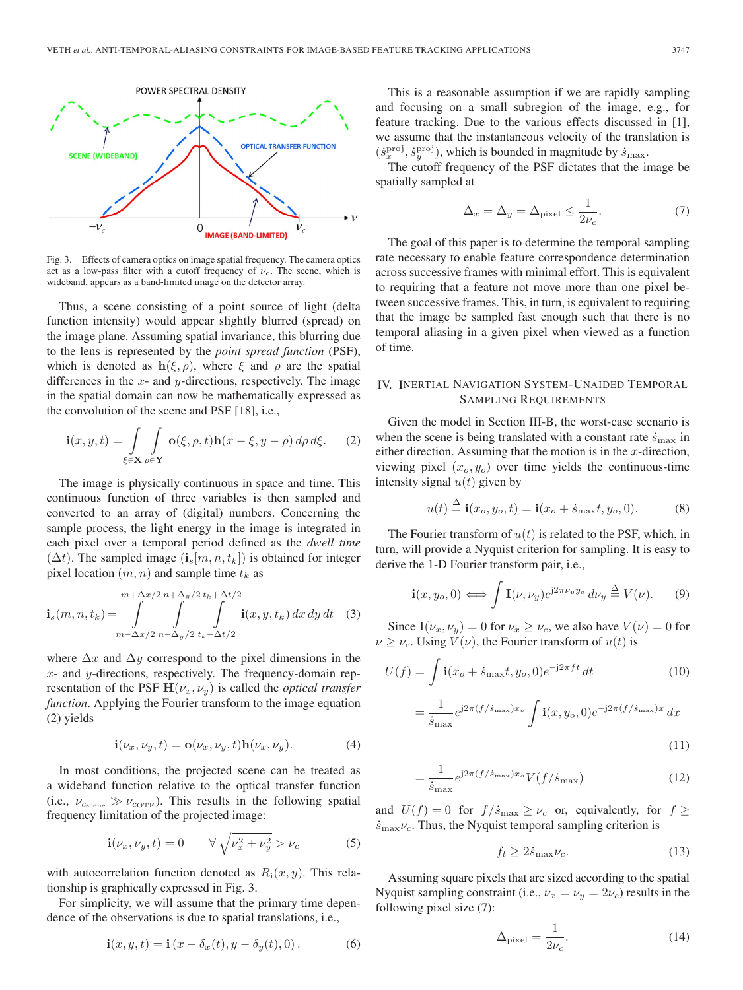

Fig. 3. Effects of camera optics on image spatial frequency. The camera optics act as a low-pass filter with a cutoff frequency of  $\nu_c$ . The scene, which is wideband, appears as a band-limited image on the detector array.

Thus, a scene consisting of a point source of light (delta function intensity) would appear slightly blurred (spread) on the image plane. Assuming spatial invariance, this blurring due to the lens is represented by the *point spread function* (PSF), which is denoted as  $h(\xi, \rho)$ , where  $\xi$  and  $\rho$  are the spatial differences in the  $x$ - and  $y$ -directions, respectively. The image in the spatial domain can now be mathematically expressed as the convolution of the scene and PSF [18], i.e.,

$$
\mathbf{i}(x, y, t) = \int_{\xi \in \mathbf{X}} \int_{\rho \in \mathbf{Y}} \mathbf{o}(\xi, \rho, t) \mathbf{h}(x - \xi, y - \rho) d\rho d\xi.
$$
 (2)

The image is physically continuous in space and time. This continuous function of three variables is then sampled and converted to an array of (digital) numbers. Concerning the sample process, the light energy in the image is integrated in each pixel over a temporal period defined as the *dwell time*  $(\Delta t)$ . The sampled image  $(i_s[m,n,t_k])$  is obtained for integer pixel location  $(m, n)$  and sample time  $t_k$  as

$$
\mathbf{i}_{s}(m,n,t_{k}) = \int_{m-\Delta x/2}^{m+\Delta x/2} \int_{n-\Delta y/2}^{n+\Delta y/2} \int_{t_{k}-\Delta t/2}^{t_{k}+\Delta t/2} \mathbf{i}(x,y,t_{k}) dx dy dt
$$
 (3)

where  $\Delta x$  and  $\Delta y$  correspond to the pixel dimensions in the  $x$ - and  $y$ -directions, respectively. The frequency-domain representation of the PSF  $\mathbf{H}(\nu_x, \nu_y)$  is called the *optical transfer function*. Applying the Fourier transform to the image equation (2) yields

$$
\mathbf{i}(\nu_x, \nu_y, t) = \mathbf{o}(\nu_x, \nu_y, t)\mathbf{h}(\nu_x, \nu_y).
$$
 (4)

In most conditions, the projected scene can be treated as a wideband function relative to the optical transfer function (i.e.,  $\nu_{c<sub>scene</sub>} \gg \nu_{c<sub>OFF</sub>}$ ). This results in the following spatial frequency limitation of the projected image:

$$
\mathbf{i}(\nu_x, \nu_y, t) = 0 \qquad \forall \sqrt{\nu_x^2 + \nu_y^2} > \nu_c \tag{5}
$$

with autocorrelation function denoted as  $R_i(x, y)$ . This relationship is graphically expressed in Fig. 3.

For simplicity, we will assume that the primary time dependence of the observations is due to spatial translations, i.e.,

$$
\mathbf{i}(x, y, t) = \mathbf{i}\left(x - \delta_x(t), y - \delta_y(t), 0\right). \tag{6}
$$

This is a reasonable assumption if we are rapidly sampling and focusing on a small subregion of the image, e.g., for feature tracking. Due to the various effects discussed in [1], we assume that the instantaneous velocity of the translation is  $(\dot{s}_x^{\text{proj}}, \dot{s}_y^{\text{proj}})$ , which is bounded in magnitude by  $\dot{s}_{\text{max}}$ .

The cutoff frequency of the PSF dictates that the image be spatially sampled at

$$
\Delta_x = \Delta_y = \Delta_{\text{pixel}} \le \frac{1}{2\nu_c}.\tag{7}
$$

The goal of this paper is to determine the temporal sampling rate necessary to enable feature correspondence determination across successive frames with minimal effort. This is equivalent to requiring that a feature not move more than one pixel between successive frames. This, in turn, is equivalent to requiring that the image be sampled fast enough such that there is no temporal aliasing in a given pixel when viewed as a function of time.

# IV. INERTIAL NAVIGATION SYSTEM-UNAIDED TEMPORAL SAMPLING REQUIREMENTS

Given the model in Section III-B, the worst-case scenario is when the scene is being translated with a constant rate  $\dot{s}_{\rm max}$  in either direction. Assuming that the motion is in the  $x$ -direction, viewing pixel  $(x_o, y_o)$  over time yields the continuous-time intensity signal  $u(t)$  given by

$$
u(t) \stackrel{\Delta}{=} \mathbf{i}(x_o, y_o, t) = \mathbf{i}(x_o + \dot{s}_{\text{max}}t, y_o, 0). \tag{8}
$$

The Fourier transform of  $u(t)$  is related to the PSF, which, in turn, will provide a Nyquist criterion for sampling. It is easy to derive the 1-D Fourier transform pair, i.e.,

$$
\mathbf{i}(x, y_o, 0) \Longleftrightarrow \int \mathbf{I}(\nu, \nu_y) e^{j2\pi \nu_y y_o} \, d\nu_y \stackrel{\Delta}{=} V(\nu). \tag{9}
$$

Since  $I(\nu_x, \nu_y)=0$  for  $\nu_x \geq \nu_c$ , we also have  $V(\nu)=0$  for  $\nu \geq \nu_c$ . Using  $V(\nu)$ , the Fourier transform of  $u(t)$  is

$$
U(f) = \int \mathbf{i}(x_o + \dot{s}_{\text{max}}t, y_o, 0)e^{-j2\pi ft} dt
$$
 (10)  

$$
= \frac{1}{\dot{s}_{\text{max}}}e^{j2\pi (f/\dot{s}_{\text{max}})x_o} \int \mathbf{i}(x, y_o, 0)e^{-j2\pi (f/\dot{s}_{\text{max}})x} dx
$$

$$
(11)
$$

$$
=\frac{1}{\dot{s}_{\text{max}}}e^{j2\pi\left(\frac{f}{s_{\text{max}}}\right)x_o}V\left(\frac{f}{s_{\text{max}}}\right) \tag{12}
$$

and  $U(f)=0$  for  $f/\dot{s}_{\text{max}} \geq \nu_c$  or, equivalently, for  $f \geq$  $\dot{s}_{\text{max}}\nu_c$ . Thus, the Nyquist temporal sampling criterion is

$$
f_t \ge 2\dot{s}_{\text{max}}\nu_c. \tag{13}
$$

Assuming square pixels that are sized according to the spatial Nyquist sampling constraint (i.e.,  $\nu_x = \nu_y = 2\nu_c$ ) results in the following pixel size (7):

$$
\Delta_{\text{pixel}} = \frac{1}{2\nu_c}.\tag{14}
$$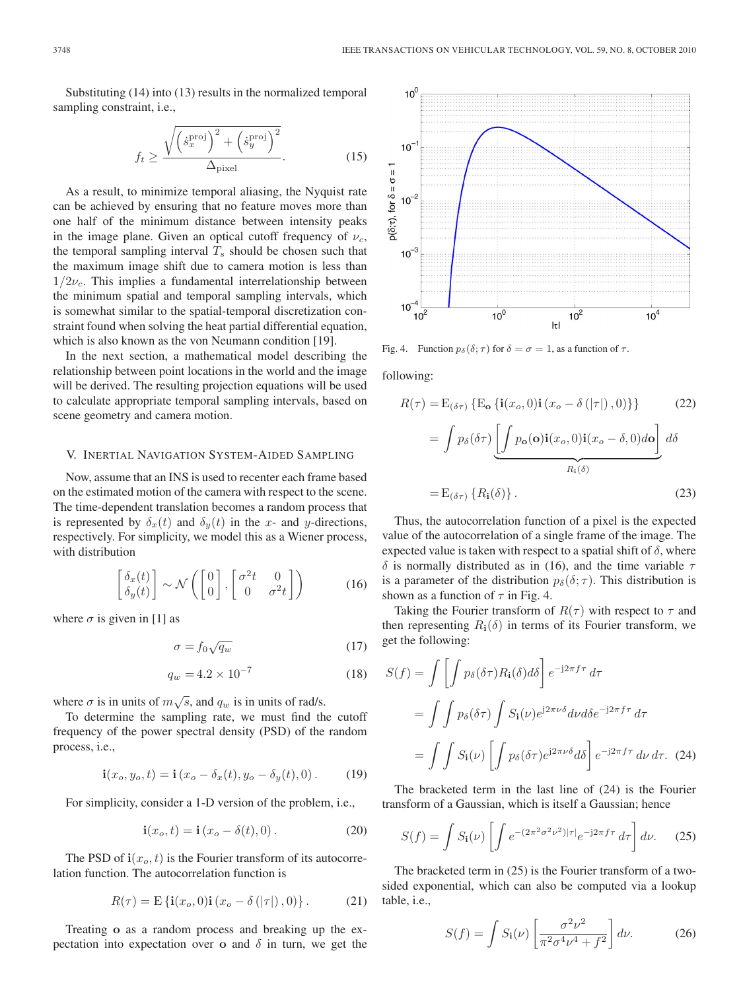Substituting (14) into (13) results in the normalized temporal sampling constraint, i.e.,

$$
f_t \ge \frac{\sqrt{\left(\dot{s}_x^{\text{proj}}\right)^2 + \left(\dot{s}_y^{\text{proj}}\right)^2}}{\Delta_{\text{pixel}}}.\tag{15}
$$

As a result, to minimize temporal aliasing, the Nyquist rate can be achieved by ensuring that no feature moves more than one half of the minimum distance between intensity peaks in the image plane. Given an optical cutoff frequency of  $\nu_c$ , the temporal sampling interval  $T_s$  should be chosen such that the maximum image shift due to camera motion is less than  $1/2v_c$ . This implies a fundamental interrelationship between the minimum spatial and temporal sampling intervals, which is somewhat similar to the spatial-temporal discretization constraint found when solving the heat partial differential equation, which is also known as the von Neumann condition [19].

In the next section, a mathematical model describing the relationship between point locations in the world and the image will be derived. The resulting projection equations will be used to calculate appropriate temporal sampling intervals, based on scene geometry and camera motion.

### V. INERTIAL NAVIGATION SYSTEM-AIDED SAMPLING

Now, assume that an INS is used to recenter each frame based on the estimated motion of the camera with respect to the scene. The time-dependent translation becomes a random process that is represented by  $\delta_x(t)$  and  $\delta_y(t)$  in the x- and y-directions, respectively. For simplicity, we model this as a Wiener process, with distribution

$$
\begin{bmatrix} \delta_x(t) \\ \delta_y(t) \end{bmatrix} \sim \mathcal{N}\left( \begin{bmatrix} 0 \\ 0 \end{bmatrix}, \begin{bmatrix} \sigma^2 t & 0 \\ 0 & \sigma^2 t \end{bmatrix} \right) \tag{16}
$$

where  $\sigma$  is given in [1] as

$$
\sigma = f_0 \sqrt{q_w} \tag{17}
$$

$$
q_w = 4.2 \times 10^{-7} \tag{18}
$$

where  $\sigma$  is in units of  $m\sqrt{s}$ , and  $q_w$  is in units of rad/s.

To determine the sampling rate, we must find the cutoff frequency of the power spectral density (PSD) of the random process, i.e.,

$$
\mathbf{i}(x_o, y_o, t) = \mathbf{i}(x_o - \delta_x(t), y_o - \delta_y(t), 0).
$$
 (19)

For simplicity, consider a 1-D version of the problem, i.e.,

$$
\mathbf{i}(x_o, t) = \mathbf{i}(x_o - \delta(t), 0). \tag{20}
$$

The PSD of  $\mathbf{i}(x_o,t)$  is the Fourier transform of its autocorrelation function. The autocorrelation function is

$$
R(\tau) = \mathcal{E}\left\{ \mathbf{i}(x_o, 0)\mathbf{i}\left(x_o - \delta\left(|\tau|\right), 0\right) \right\}.
$$
 (21)

Treating **o** as a random process and breaking up the expectation into expectation over **o** and  $\delta$  in turn, we get the



Fig. 4. Function  $p_{\delta}(\delta; \tau)$  for  $\delta = \sigma = 1$ , as a function of  $\tau$ .

following:

$$
R(\tau) = \mathbf{E}_{(\delta\tau)} \left\{ \mathbf{E}_{\mathbf{o}} \left\{ \mathbf{i}(x_o, 0) \mathbf{i}(x_o - \delta(|\tau|), 0) \right\} \right\}
$$
(22)  

$$
= \int p_{\delta}(\delta\tau) \underbrace{\left[ \int p_{\mathbf{o}}(\mathbf{o}) \mathbf{i}(x_o, 0) \mathbf{i}(x_o - \delta, 0) d\mathbf{o} \right]}_{R_{\mathbf{i}}(\delta)} d\delta
$$

$$
=E_{(\delta\tau)}\left\{R_i(\delta)\right\}.
$$
\n(23)

Thus, the autocorrelation function of a pixel is the expected value of the autocorrelation of a single frame of the image. The expected value is taken with respect to a spatial shift of  $\delta$ , where δ is normally distributed as in (16), and the time variable  $τ$ is a parameter of the distribution  $p_{\delta}(\delta; \tau)$ . This distribution is shown as a function of  $\tau$  in Fig. 4.

Taking the Fourier transform of  $R(\tau)$  with respect to  $\tau$  and then representing  $R_i(\delta)$  in terms of its Fourier transform, we get the following:

$$
S(f) = \int \left[ \int p_{\delta}(\delta \tau) R_{\mathbf{i}}(\delta) d\delta \right] e^{-j2\pi f \tau} d\tau
$$

$$
= \int \int p_{\delta}(\delta \tau) \int S_{\mathbf{i}}(\nu) e^{j2\pi \nu \delta} d\nu d\delta e^{-j2\pi f \tau} d\tau
$$

$$
= \int \int S_{\mathbf{i}}(\nu) \left[ \int p_{\delta}(\delta \tau) e^{j2\pi \nu \delta} d\delta \right] e^{-j2\pi f \tau} d\nu d\tau. (24)
$$

The bracketed term in the last line of (24) is the Fourier transform of a Gaussian, which is itself a Gaussian; hence

$$
S(f) = \int S_{\mathbf{i}}(\nu) \left[ \int e^{-(2\pi^2 \sigma^2 \nu^2)|\tau|} e^{-j2\pi f \tau} d\tau \right] d\nu. \tag{25}
$$

The bracketed term in (25) is the Fourier transform of a twosided exponential, which can also be computed via a lookup table, i.e.,

$$
S(f) = \int S_{\mathbf{i}}(\nu) \left[ \frac{\sigma^2 \nu^2}{\pi^2 \sigma^4 \nu^4 + f^2} \right] d\nu.
$$
 (26)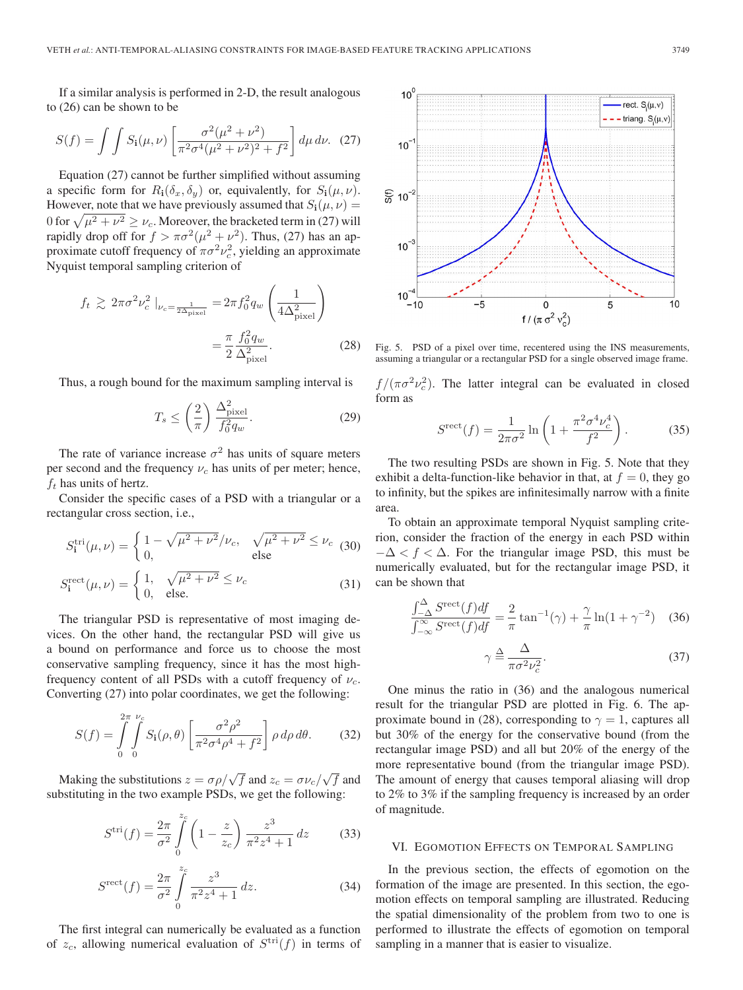If a similar analysis is performed in 2-D, the result analogous to (26) can be shown to be

$$
S(f) = \int \int S_{\mathbf{i}}(\mu, \nu) \left[ \frac{\sigma^2 (\mu^2 + \nu^2)}{\pi^2 \sigma^4 (\mu^2 + \nu^2)^2 + f^2} \right] d\mu \, d\nu. \tag{27}
$$

Equation (27) cannot be further simplified without assuming a specific form for  $R_i(\delta_x, \delta_y)$  or, equivalently, for  $S_i(\mu, \nu)$ . However, note that we have previously assumed that  $S_i(\mu, \nu)$  = 0 for  $\sqrt{\mu^2 + \nu^2} \geq \nu_c$ . Moreover, the bracketed term in (27) will rapidly drop off for  $f > \pi \sigma^2 (\mu^2 + \nu^2)$ . Thus, (27) has an approximate cutoff frequency of  $\pi \sigma^2 \nu_c^2$ , yielding an approximate Nyquist temporal sampling criterion of

$$
f_t \gtrsim 2\pi\sigma^2 \nu_c^2 \big|_{\nu_c = \frac{1}{2\Delta_{\text{pixel}}}} = 2\pi f_0^2 q_w \left(\frac{1}{4\Delta_{\text{pixel}}^2}\right)
$$

$$
= \frac{\pi}{2} \frac{f_0^2 q_w}{\Delta_{\text{pixel}}^2}.
$$
 (28)

Thus, a rough bound for the maximum sampling interval is

$$
T_s \le \left(\frac{2}{\pi}\right) \frac{\Delta_{\text{pixel}}^2}{f_0^2 q_w}.\tag{29}
$$

The rate of variance increase  $\sigma^2$  has units of square meters per second and the frequency  $\nu_c$  has units of per meter; hence,  $f_t$  has units of hertz.

Consider the specific cases of a PSD with a triangular or a rectangular cross section, i.e.,

$$
S_{\mathbf{i}}^{\text{tri}}(\mu,\nu) = \begin{cases} 1 - \sqrt{\mu^2 + \nu^2}/\nu_c, & \sqrt{\mu^2 + \nu^2} \le \nu_c \\ 0, & \text{else} \end{cases} (30)
$$

$$
S_{\mathbf{i}}^{\text{rect}}(\mu,\nu) = \begin{cases} 1, & \sqrt{\mu^2 + \nu^2} \le \nu_c \\ 0, & \text{else.} \end{cases} \tag{31}
$$

The triangular PSD is representative of most imaging devices. On the other hand, the rectangular PSD will give us a bound on performance and force us to choose the most conservative sampling frequency, since it has the most highfrequency content of all PSDs with a cutoff frequency of  $\nu_c$ . Converting (27) into polar coordinates, we get the following:

$$
S(f) = \int_{0}^{2\pi} \int_{0}^{\nu_c} S_{\mathbf{i}}(\rho,\theta) \left[ \frac{\sigma^2 \rho^2}{\pi^2 \sigma^4 \rho^4 + f^2} \right] \rho \, d\rho \, d\theta. \tag{32}
$$

Making the substitutions  $z = \sigma \rho / \sqrt{f}$  and  $z_c = \sigma \nu_c / \sqrt{f}$  and substituting in the two example PSDs, we get the following:

$$
S^{\text{tri}}(f) = \frac{2\pi}{\sigma^2} \int_{0}^{z_c} \left(1 - \frac{z}{z_c}\right) \frac{z^3}{\pi^2 z^4 + 1} \, dz \tag{33}
$$

$$
S^{\text{rect}}(f) = \frac{2\pi}{\sigma^2} \int_{0}^{z_c} \frac{z^3}{\pi^2 z^4 + 1} \, dz. \tag{34}
$$

The first integral can numerically be evaluated as a function of  $z_c$ , allowing numerical evaluation of  $S<sup>tri</sup>(f)$  in terms of



Fig. 5. PSD of a pixel over time, recentered using the INS measurements, assuming a triangular or a rectangular PSD for a single observed image frame.

 $f/(\pi \sigma^2 \nu_c^2)$ . The latter integral can be evaluated in closed form as

$$
S^{\text{rect}}(f) = \frac{1}{2\pi\sigma^2} \ln\left(1 + \frac{\pi^2 \sigma^4 \nu_c^4}{f^2}\right). \tag{35}
$$

The two resulting PSDs are shown in Fig. 5. Note that they exhibit a delta-function-like behavior in that, at  $f = 0$ , they go to infinity, but the spikes are infinitesimally narrow with a finite area.

To obtain an approximate temporal Nyquist sampling criterion, consider the fraction of the energy in each PSD within  $-\Delta < f < \Delta$ . For the triangular image PSD, this must be numerically evaluated, but for the rectangular image PSD, it can be shown that

$$
\frac{\int_{-\Delta}^{\Delta} S^{\text{rect}}(f) df}{\int_{-\infty}^{\infty} S^{\text{rect}}(f) df} = \frac{2}{\pi} \tan^{-1}(\gamma) + \frac{\gamma}{\pi} \ln(1 + \gamma^{-2}) \quad (36)
$$

$$
\gamma \stackrel{\Delta}{=} \frac{\Delta}{\pi \sigma^2 \nu_c^2}.
$$
\n(37)

One minus the ratio in (36) and the analogous numerical result for the triangular PSD are plotted in Fig. 6. The approximate bound in (28), corresponding to  $\gamma = 1$ , captures all but 30% of the energy for the conservative bound (from the rectangular image PSD) and all but 20% of the energy of the more representative bound (from the triangular image PSD). The amount of energy that causes temporal aliasing will drop to 2% to 3% if the sampling frequency is increased by an order of magnitude.

#### VI. EGOMOTION EFFECTS ON TEMPORAL SAMPLING

In the previous section, the effects of egomotion on the formation of the image are presented. In this section, the egomotion effects on temporal sampling are illustrated. Reducing the spatial dimensionality of the problem from two to one is performed to illustrate the effects of egomotion on temporal sampling in a manner that is easier to visualize.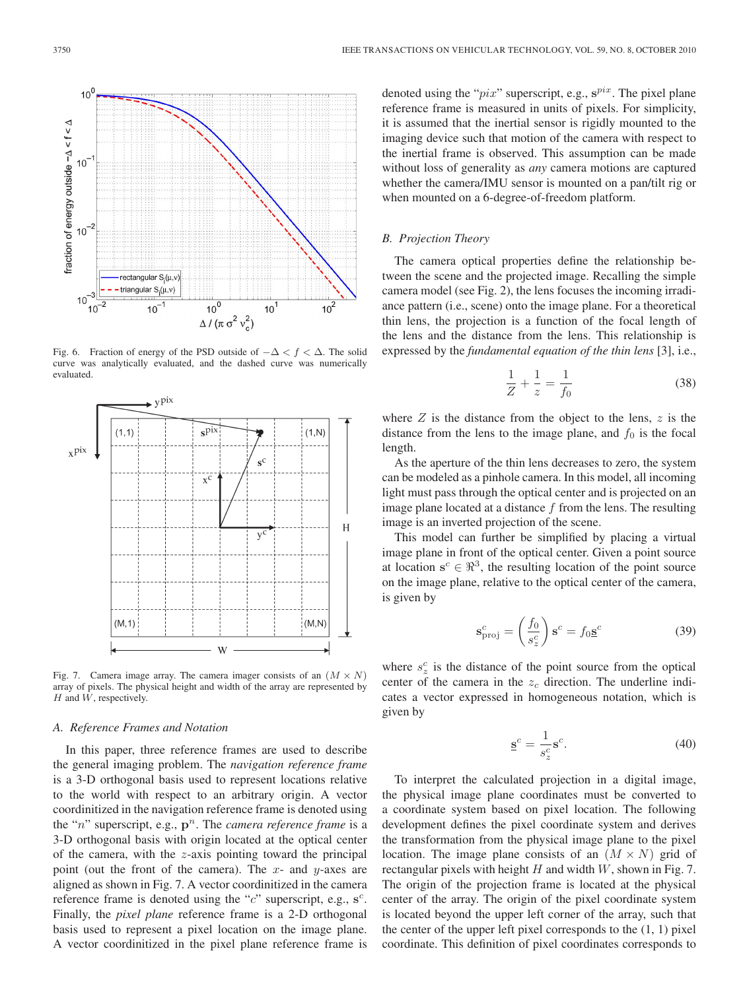

Fig. 6. Fraction of energy of the PSD outside of  $-\Delta < f < \Delta$ . The solid curve was analytically evaluated, and the dashed curve was numerically evaluated.



Fig. 7. Camera image array. The camera imager consists of an  $(M \times N)$ array of pixels. The physical height and width of the array are represented by  $H$  and  $W$ , respectively.

## *A. Reference Frames and Notation*

In this paper, three reference frames are used to describe the general imaging problem. The *navigation reference frame* is a 3-D orthogonal basis used to represent locations relative to the world with respect to an arbitrary origin. A vector coordinitized in the navigation reference frame is denoted using the "n" superscript, e.g.,  $p<sup>n</sup>$ . The *camera reference frame* is a 3-D orthogonal basis with origin located at the optical center of the camera, with the  $z$ -axis pointing toward the principal point (out the front of the camera). The  $x$ - and  $y$ -axes are aligned as shown in Fig. 7. A vector coordinitized in the camera reference frame is denoted using the "c" superscript, e.g.,  $s^c$ . Finally, the *pixel plane* reference frame is a 2-D orthogonal basis used to represent a pixel location on the image plane. A vector coordinitized in the pixel plane reference frame is denoted using the " $pix$ " superscript, e.g.,  $s<sup>pix</sup>$ . The pixel plane reference frame is measured in units of pixels. For simplicity, it is assumed that the inertial sensor is rigidly mounted to the imaging device such that motion of the camera with respect to the inertial frame is observed. This assumption can be made without loss of generality as *any* camera motions are captured whether the camera/IMU sensor is mounted on a pan/tilt rig or when mounted on a 6-degree-of-freedom platform.

## *B. Projection Theory*

The camera optical properties define the relationship between the scene and the projected image. Recalling the simple camera model (see Fig. 2), the lens focuses the incoming irradiance pattern (i.e., scene) onto the image plane. For a theoretical thin lens, the projection is a function of the focal length of the lens and the distance from the lens. This relationship is expressed by the *fundamental equation of the thin lens* [3], i.e.,

$$
\frac{1}{Z} + \frac{1}{z} = \frac{1}{f_0} \tag{38}
$$

where  $Z$  is the distance from the object to the lens,  $z$  is the distance from the lens to the image plane, and  $f_0$  is the focal length.

As the aperture of the thin lens decreases to zero, the system can be modeled as a pinhole camera. In this model, all incoming light must pass through the optical center and is projected on an image plane located at a distance  $f$  from the lens. The resulting image is an inverted projection of the scene.

This model can further be simplified by placing a virtual image plane in front of the optical center. Given a point source at location  $s^c \in \mathbb{R}^3$ , the resulting location of the point source on the image plane, relative to the optical center of the camera, is given by

$$
\mathbf{s}_{\text{proj}}^{c} = \left(\frac{f_0}{s_z^c}\right) \mathbf{s}^c = f_0 \underline{\mathbf{s}}^c \tag{39}
$$

where  $s_z^c$  is the distance of the point source from the optical center of the camera in the  $z_c$  direction. The underline indicates a vector expressed in homogeneous notation, which is given by

$$
\underline{\mathbf{s}}^c = \frac{1}{s_z^c} \mathbf{s}^c. \tag{40}
$$

To interpret the calculated projection in a digital image, the physical image plane coordinates must be converted to a coordinate system based on pixel location. The following development defines the pixel coordinate system and derives the transformation from the physical image plane to the pixel location. The image plane consists of an  $(M \times N)$  grid of rectangular pixels with height  $H$  and width  $W$ , shown in Fig. 7. The origin of the projection frame is located at the physical center of the array. The origin of the pixel coordinate system is located beyond the upper left corner of the array, such that the center of the upper left pixel corresponds to the  $(1, 1)$  pixel coordinate. This definition of pixel coordinates corresponds to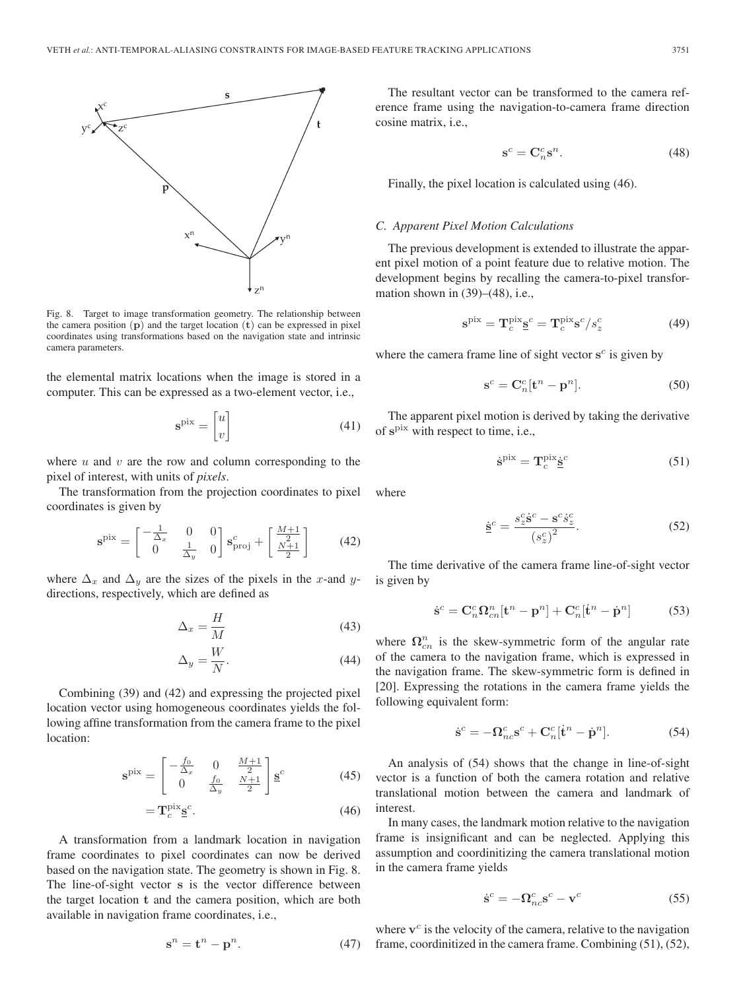

Fig. 8. Target to image transformation geometry. The relationship between the camera position (**p**) and the target location (**t**) can be expressed in pixel coordinates using transformations based on the navigation state and intrinsic camera parameters.

the elemental matrix locations when the image is stored in a computer. This can be expressed as a two-element vector, i.e.,

$$
\mathbf{s}^{\text{pix}} = \begin{bmatrix} u \\ v \end{bmatrix} \tag{41}
$$

where  $u$  and  $v$  are the row and column corresponding to the pixel of interest, with units of *pixels*.

The transformation from the projection coordinates to pixel coordinates is given by

$$
\mathbf{s}^{\text{pix}} = \begin{bmatrix} -\frac{1}{\Delta_x} & 0 & 0\\ 0 & \frac{1}{\Delta_y} & 0 \end{bmatrix} \mathbf{s}^c_{\text{proj}} + \begin{bmatrix} \frac{M+1}{2} \\ \frac{N+1}{2} \end{bmatrix}
$$
(42)

where  $\Delta_x$  and  $\Delta_y$  are the sizes of the pixels in the x-and ydirections, respectively, which are defined as

$$
\Delta_x = \frac{H}{M} \tag{43}
$$

$$
\Delta_y = \frac{W}{N}.\tag{44}
$$

Combining (39) and (42) and expressing the projected pixel location vector using homogeneous coordinates yields the following affine transformation from the camera frame to the pixel location:

$$
\mathbf{s}^{\text{pix}} = \begin{bmatrix} -\frac{f_0}{\Delta_x} & 0 & \frac{M+1}{2} \\ 0 & \frac{f_0}{\Delta_y} & \frac{N+1}{2} \end{bmatrix} \mathbf{s}^c \tag{45}
$$

$$
=\mathbf{T}_c^{\text{pix}}\mathbf{\underline{s}}^c.\tag{46}
$$

A transformation from a landmark location in navigation frame coordinates to pixel coordinates can now be derived based on the navigation state. The geometry is shown in Fig. 8. The line-of-sight vector **s** is the vector difference between the target location **t** and the camera position, which are both available in navigation frame coordinates, i.e.,

$$
\mathbf{s}^n = \mathbf{t}^n - \mathbf{p}^n. \tag{47}
$$

The resultant vector can be transformed to the camera reference frame using the navigation-to-camera frame direction cosine matrix, i.e.,

$$
\mathbf{s}^c = \mathbf{C}_n^c \mathbf{s}^n. \tag{48}
$$

Finally, the pixel location is calculated using (46).

## *C. Apparent Pixel Motion Calculations*

The previous development is extended to illustrate the apparent pixel motion of a point feature due to relative motion. The development begins by recalling the camera-to-pixel transformation shown in  $(39)$ – $(48)$ , i.e.,

$$
\mathbf{s}^{\text{pix}} = \mathbf{T}_c^{\text{pix}} \mathbf{s}^c = \mathbf{T}_c^{\text{pix}} \mathbf{s}^c / s_z^c \tag{49}
$$

where the camera frame line of sight vector  $s^c$  is given by

$$
\mathbf{s}^c = \mathbf{C}_n^c [\mathbf{t}^n - \mathbf{p}^n]. \tag{50}
$$

The apparent pixel motion is derived by taking the derivative of **s**pix with respect to time, i.e.,

$$
\dot{\mathbf{s}}^{\text{pix}} = \mathbf{T}_c^{\text{pix}} \dot{\mathbf{s}}^c \tag{51}
$$

where

$$
\dot{\mathbf{S}}^c = \frac{s_z^c \dot{\mathbf{S}}^c - \mathbf{S}^c \dot{s}_z^c}{\left(s_z^c\right)^2}.
$$
 (52)

The time derivative of the camera frame line-of-sight vector is given by

$$
\dot{\mathbf{s}}^c = \mathbf{C}_n^c \Omega_{cn}^n [\mathbf{t}^n - \mathbf{p}^n] + \mathbf{C}_n^c [\dot{\mathbf{t}}^n - \dot{\mathbf{p}}^n]
$$
(53)

where  $\Omega_{cn}^{n}$  is the skew-symmetric form of the angular rate of the camera to the navigation frame, which is expressed in the navigation frame. The skew-symmetric form is defined in [20]. Expressing the rotations in the camera frame yields the following equivalent form:

$$
\dot{\mathbf{s}}^c = -\mathbf{\Omega}_{nc}^c \mathbf{s}^c + \mathbf{C}_n^c [\dot{\mathbf{t}}^n - \dot{\mathbf{p}}^n]. \tag{54}
$$

An analysis of (54) shows that the change in line-of-sight vector is a function of both the camera rotation and relative translational motion between the camera and landmark of interest.

In many cases, the landmark motion relative to the navigation frame is insignificant and can be neglected. Applying this assumption and coordinitizing the camera translational motion in the camera frame yields

$$
\dot{\mathbf{s}}^c = -\mathbf{\Omega}_{nc}^c \mathbf{s}^c - \mathbf{v}^c \tag{55}
$$

where  $\mathbf{v}^c$  is the velocity of the camera, relative to the navigation frame, coordinitized in the camera frame. Combining (51), (52),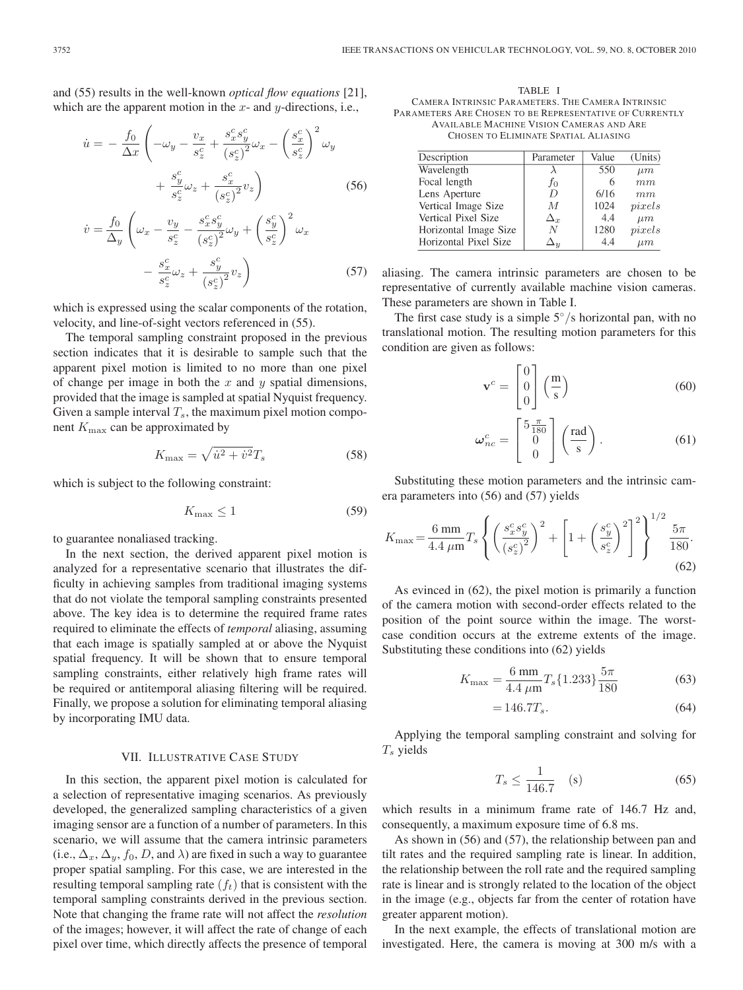and (55) results in the well-known *optical flow equations* [21], which are the apparent motion in the  $x$ - and  $y$ -directions, i.e.,

$$
\dot{u} = -\frac{f_0}{\Delta x} \left( -\omega_y - \frac{v_x}{s_z^c} + \frac{s_x^c s_y^c}{\left(s_z^c\right)^2} \omega_x - \left(\frac{s_x^c}{s_z^c}\right)^2 \omega_y + \frac{s_y^c}{s_z^c} \omega_z + \frac{s_x^c}{\left(s_z^c\right)^2} v_z \right)
$$
\n(56)

$$
\dot{v} = \frac{f_0}{\Delta_y} \left( \omega_x - \frac{v_y}{s_z^c} - \frac{s_x^c s_y^c}{\left(s_z^c\right)^2} \omega_y + \left(\frac{s_y^c}{s_z^c}\right)^2 \omega_x - \frac{s_x^c}{s_z^c} \omega_z + \frac{s_y^c}{\left(s_z^c\right)^2} v_z \right)
$$
\n(57)

which is expressed using the scalar components of the rotation, velocity, and line-of-sight vectors referenced in (55).

The temporal sampling constraint proposed in the previous section indicates that it is desirable to sample such that the apparent pixel motion is limited to no more than one pixel of change per image in both the x and  $y$  spatial dimensions, provided that the image is sampled at spatial Nyquist frequency. Given a sample interval  $T_s$ , the maximum pixel motion component  $K_{\text{max}}$  can be approximated by

$$
K_{\text{max}} = \sqrt{\dot{u}^2 + \dot{v}^2} T_s \tag{58}
$$

which is subject to the following constraint:

$$
K_{\max} \le 1\tag{59}
$$

to guarantee nonaliased tracking.

In the next section, the derived apparent pixel motion is analyzed for a representative scenario that illustrates the difficulty in achieving samples from traditional imaging systems that do not violate the temporal sampling constraints presented above. The key idea is to determine the required frame rates required to eliminate the effects of *temporal* aliasing, assuming that each image is spatially sampled at or above the Nyquist spatial frequency. It will be shown that to ensure temporal sampling constraints, either relatively high frame rates will be required or antitemporal aliasing filtering will be required. Finally, we propose a solution for eliminating temporal aliasing by incorporating IMU data.

## VII. ILLUSTRATIVE CASE STUDY

In this section, the apparent pixel motion is calculated for a selection of representative imaging scenarios. As previously developed, the generalized sampling characteristics of a given imaging sensor are a function of a number of parameters. In this scenario, we will assume that the camera intrinsic parameters (i.e.,  $\Delta_x$ ,  $\Delta_y$ ,  $f_0$ , D, and  $\lambda$ ) are fixed in such a way to guarantee proper spatial sampling. For this case, we are interested in the resulting temporal sampling rate  $(f_t)$  that is consistent with the temporal sampling constraints derived in the previous section. Note that changing the frame rate will not affect the *resolution* of the images; however, it will affect the rate of change of each pixel over time, which directly affects the presence of temporal

TABLE I CAMERA INTRINSIC PARAMETERS. THE CAMERA INTRINSIC PARAMETERS ARE CHOSEN TO BE REPRESENTATIVE OF CURRENTLY AVAILABLE MACHINE VISION CAMERAS AND ARE CHOSEN TO ELIMINATE SPATIAL ALIASING

| Description           | Parameter    | Value | (Units) |
|-----------------------|--------------|-------|---------|
| Wavelength            |              | 550   | $\mu m$ |
| Focal length          | fo           |       | mm      |
| Lens Aperture         | D            | 6/16  | mm      |
| Vertical Image Size   | М            | 1024  | pixels  |
| Vertical Pixel Size   | $\Delta_{x}$ | 4.4   | $\mu$ m |
| Horizontal Image Size | N            | 1280  | pixels  |
| Horizontal Pixel Size | $\Delta y$   | 44    | $\mu$ m |

aliasing. The camera intrinsic parameters are chosen to be representative of currently available machine vision cameras. These parameters are shown in Table I.

The first case study is a simple  $5^{\circ}/s$  horizontal pan, with no translational motion. The resulting motion parameters for this condition are given as follows:

$$
\mathbf{v}^c = \begin{bmatrix} 0 \\ 0 \\ 0 \end{bmatrix} \left(\frac{\mathbf{m}}{\mathbf{s}}\right) \tag{60}
$$

$$
\omega_{nc}^{c} = \begin{bmatrix} 5\frac{\pi}{180} \\ 0 \\ 0 \end{bmatrix} \begin{pmatrix} \text{rad} \\ \text{s} \end{pmatrix}.
$$
 (61)

Substituting these motion parameters and the intrinsic camera parameters into (56) and (57) yields

$$
K_{\max} = \frac{6 \text{ mm}}{4.4 \text{ }\mu\text{m}} T_s \left\{ \left( \frac{s_x^c s_y^c}{\left( s_z^c \right)^2} \right)^2 + \left[ 1 + \left( \frac{s_y^c}{s_z^c} \right)^2 \right]^2 \right\}^{1/2} \frac{5\pi}{180}.
$$
\n(62)

As evinced in (62), the pixel motion is primarily a function of the camera motion with second-order effects related to the position of the point source within the image. The worstcase condition occurs at the extreme extents of the image. Substituting these conditions into (62) yields

$$
K_{\text{max}} = \frac{6 \text{ mm}}{4.4 \text{ }\mu\text{m}} T_s \{1.233\} \frac{5\pi}{180} \tag{63}
$$

$$
=146.7T_s.\tag{64}
$$

Applying the temporal sampling constraint and solving for  $T_s$  yields

$$
T_s \le \frac{1}{146.7} \quad \text{(s)}\tag{65}
$$

which results in a minimum frame rate of 146.7 Hz and, consequently, a maximum exposure time of 6.8 ms.

As shown in (56) and (57), the relationship between pan and tilt rates and the required sampling rate is linear. In addition, the relationship between the roll rate and the required sampling rate is linear and is strongly related to the location of the object in the image (e.g., objects far from the center of rotation have greater apparent motion).

In the next example, the effects of translational motion are investigated. Here, the camera is moving at 300 m/s with a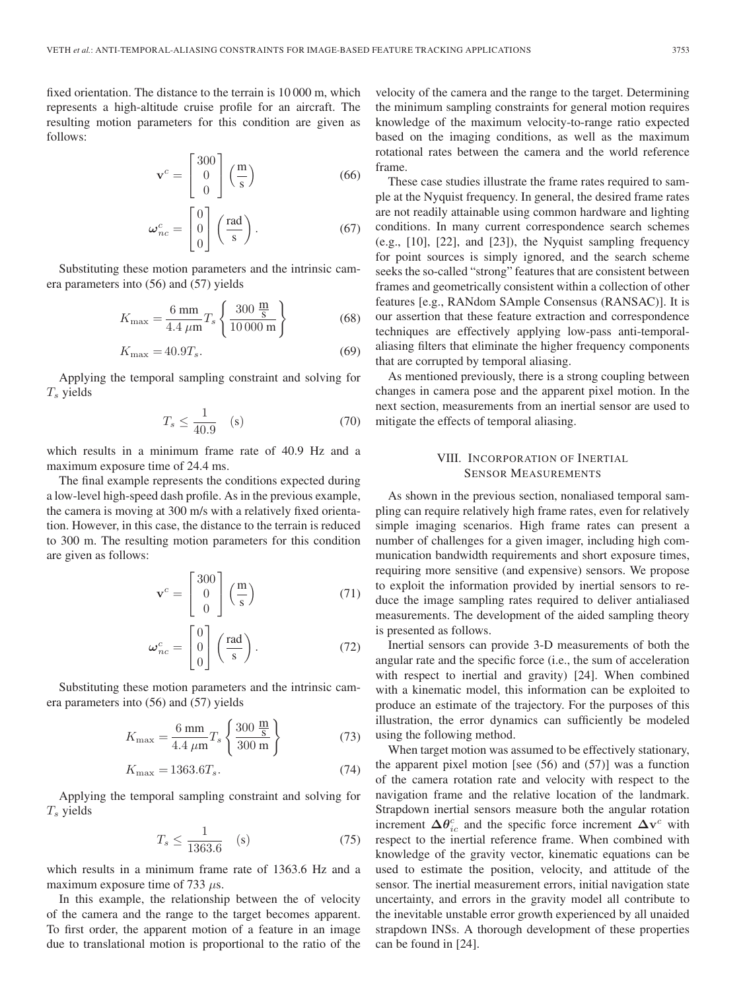fixed orientation. The distance to the terrain is 10 000 m, which represents a high-altitude cruise profile for an aircraft. The resulting motion parameters for this condition are given as follows:

$$
\mathbf{v}^c = \begin{bmatrix} 300 \\ 0 \\ 0 \end{bmatrix} \left(\frac{\mathbf{m}}{\mathbf{s}}\right) \tag{66}
$$

$$
\omega_{nc}^{c} = \begin{bmatrix} 0 \\ 0 \\ 0 \end{bmatrix} \left(\frac{\text{rad}}{\text{s}}\right). \tag{67}
$$

Substituting these motion parameters and the intrinsic camera parameters into (56) and (57) yields

$$
K_{\text{max}} = \frac{6 \text{ mm}}{4.4 \text{ }\mu\text{m}} T_s \left\{ \frac{300 \frac{\text{m}}{\text{s}}}{10000 \text{ m}} \right\} \tag{68}
$$

$$
K_{\text{max}} = 40.9T_s. \tag{69}
$$

Applying the temporal sampling constraint and solving for  $T_s$  yields

$$
T_s \le \frac{1}{40.9} \quad \text{(s)} \tag{70}
$$

which results in a minimum frame rate of 40.9 Hz and a maximum exposure time of 24.4 ms.

The final example represents the conditions expected during a low-level high-speed dash profile. As in the previous example, the camera is moving at 300 m/s with a relatively fixed orientation. However, in this case, the distance to the terrain is reduced to 300 m. The resulting motion parameters for this condition are given as follows:

$$
\mathbf{v}^c = \begin{bmatrix} 300 \\ 0 \\ 0 \end{bmatrix} \left(\frac{\mathbf{m}}{\mathbf{s}}\right) \tag{71}
$$

$$
\omega_{nc}^{c} = \begin{bmatrix} 0 \\ 0 \\ 0 \end{bmatrix} \left(\frac{\text{rad}}{\text{s}}\right). \tag{72}
$$

Substituting these motion parameters and the intrinsic camera parameters into (56) and (57) yields

$$
K_{\text{max}} = \frac{6 \text{ mm}}{4.4 \text{ }\mu\text{m}} T_s \left\{ \frac{300 \frac{\text{m}}{\text{s}}}{300 \text{ m}} \right\} \tag{73}
$$

$$
K_{\text{max}} = 1363.6T_s. \tag{74}
$$

Applying the temporal sampling constraint and solving for  $T_s$  yields

$$
T_s \le \frac{1}{1363.6} \quad \text{(s)} \tag{75}
$$

which results in a minimum frame rate of 1363.6 Hz and a maximum exposure time of 733  $\mu$ s.

In this example, the relationship between the of velocity of the camera and the range to the target becomes apparent. To first order, the apparent motion of a feature in an image due to translational motion is proportional to the ratio of the velocity of the camera and the range to the target. Determining the minimum sampling constraints for general motion requires knowledge of the maximum velocity-to-range ratio expected based on the imaging conditions, as well as the maximum rotational rates between the camera and the world reference frame.

These case studies illustrate the frame rates required to sample at the Nyquist frequency. In general, the desired frame rates are not readily attainable using common hardware and lighting conditions. In many current correspondence search schemes (e.g., [10], [22], and [23]), the Nyquist sampling frequency for point sources is simply ignored, and the search scheme seeks the so-called "strong" features that are consistent between frames and geometrically consistent within a collection of other features [e.g., RANdom SAmple Consensus (RANSAC)]. It is our assertion that these feature extraction and correspondence techniques are effectively applying low-pass anti-temporalaliasing filters that eliminate the higher frequency components that are corrupted by temporal aliasing.

As mentioned previously, there is a strong coupling between changes in camera pose and the apparent pixel motion. In the next section, measurements from an inertial sensor are used to mitigate the effects of temporal aliasing.

# VIII. INCORPORATION OF INERTIAL SENSOR MEASUREMENTS

As shown in the previous section, nonaliased temporal sampling can require relatively high frame rates, even for relatively simple imaging scenarios. High frame rates can present a number of challenges for a given imager, including high communication bandwidth requirements and short exposure times, requiring more sensitive (and expensive) sensors. We propose to exploit the information provided by inertial sensors to reduce the image sampling rates required to deliver antialiased measurements. The development of the aided sampling theory is presented as follows.

Inertial sensors can provide 3-D measurements of both the angular rate and the specific force (i.e., the sum of acceleration with respect to inertial and gravity) [24]. When combined with a kinematic model, this information can be exploited to produce an estimate of the trajectory. For the purposes of this illustration, the error dynamics can sufficiently be modeled using the following method.

When target motion was assumed to be effectively stationary, the apparent pixel motion [see (56) and (57)] was a function of the camera rotation rate and velocity with respect to the navigation frame and the relative location of the landmark. Strapdown inertial sensors measure both the angular rotation increment  $\Delta \theta_{ic}^c$  and the specific force increment  $\Delta v^c$  with respect to the inertial reference frame. When combined with knowledge of the gravity vector, kinematic equations can be used to estimate the position, velocity, and attitude of the sensor. The inertial measurement errors, initial navigation state uncertainty, and errors in the gravity model all contribute to the inevitable unstable error growth experienced by all unaided strapdown INSs. A thorough development of these properties can be found in [24].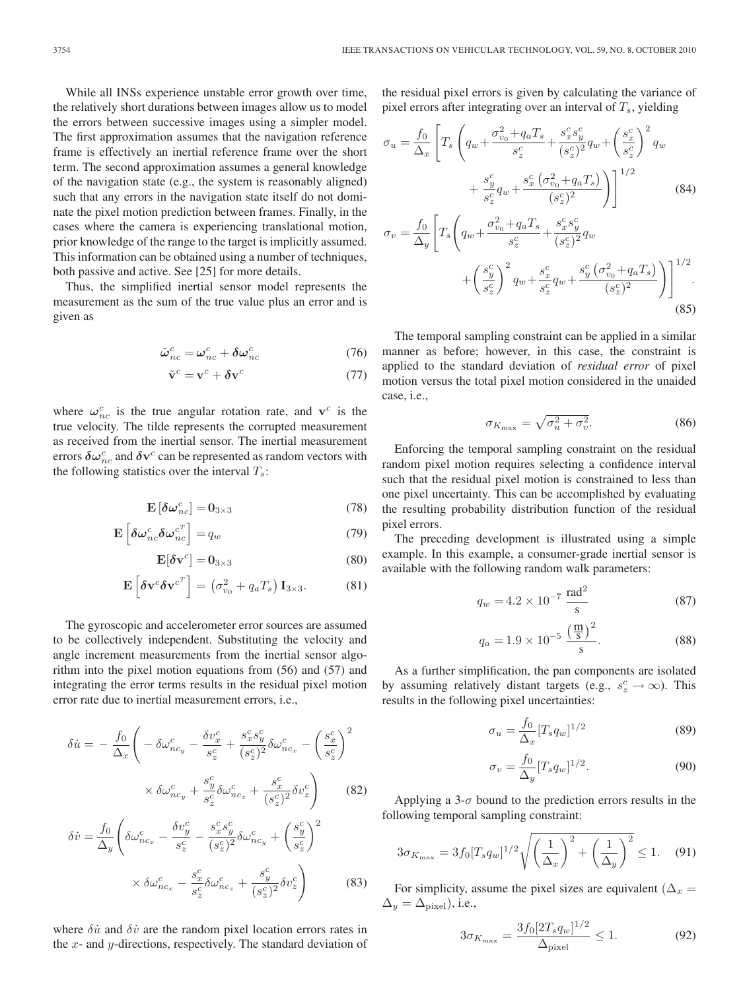While all INSs experience unstable error growth over time, the relatively short durations between images allow us to model the errors between successive images using a simpler model. The first approximation assumes that the navigation reference frame is effectively an inertial reference frame over the short term. The second approximation assumes a general knowledge of the navigation state (e.g., the system is reasonably aligned) such that any errors in the navigation state itself do not dominate the pixel motion prediction between frames. Finally, in the cases where the camera is experiencing translational motion, prior knowledge of the range to the target is implicitly assumed. This information can be obtained using a number of techniques, both passive and active. See [25] for more details.

Thus, the simplified inertial sensor model represents the measurement as the sum of the true value plus an error and is given as

$$
\tilde{\omega}_{nc}^{c} = \omega_{nc}^{c} + \delta \omega_{nc}^{c}
$$
\n(76)

$$
\tilde{\mathbf{v}}^c = \mathbf{v}^c + \boldsymbol{\delta}\mathbf{v}^c \tag{77}
$$

where  $\omega_{nc}^c$  is the true angular rotation rate, and  $\mathbf{v}^c$  is the true velocity. The tilde represents the corrupted measurement as received from the inertial sensor. The inertial measurement errors  $\boldsymbol{\delta}\boldsymbol{\omega}_{nc}^{c}$  and  $\boldsymbol{\delta}\mathbf{v}^{c}$  can be represented as random vectors with the following statistics over the interval  $T_s$ :

$$
\mathbf{E}\left[\delta\omega_{nc}^{c}\right] = \mathbf{0}_{3\times3} \tag{78}
$$

$$
\mathbf{E}\left[\delta\omega_{nc}^{c}\delta\omega_{nc}^{c^{T}}\right] = q_{w}
$$
\n(79)

$$
\mathbf{E}[\delta \mathbf{v}^c] = \mathbf{0}_{3 \times 3} \tag{80}
$$

$$
\mathbf{E}\left[\boldsymbol{\delta v}^c \boldsymbol{\delta v}^{c^T}\right] = \left(\sigma_{v_0}^2 + q_a T_s\right) \mathbf{I}_{3 \times 3}.\tag{81}
$$

The gyroscopic and accelerometer error sources are assumed to be collectively independent. Substituting the velocity and angle increment measurements from the inertial sensor algorithm into the pixel motion equations from (56) and (57) and integrating the error terms results in the residual pixel motion error rate due to inertial measurement errors, i.e.,

$$
\delta \dot{u} = -\frac{f_0}{\Delta_x} \left( -\delta \omega_{nc_y}^c - \frac{\delta v_x^c}{s_z^c} + \frac{s_x^c s_y^c}{(s_z^c)^2} \delta \omega_{nc_x}^c - \left( \frac{s_x^c}{s_z^c} \right)^2 \times \delta \omega_{nc_y}^c + \frac{s_y^c}{s_z^c} \delta \omega_{nc_z}^c + \frac{s_x^c}{(s_z^c)^2} \delta v_z^c \right)
$$
(82)

$$
\delta \dot{v} = \frac{f_0}{\Delta_y} \left( \delta \omega_{nc_x}^c - \frac{\delta v_y^c}{s_z^c} - \frac{s_x^c s_y^c}{(s_z^c)^2} \delta \omega_{nc_y}^c + \left( \frac{s_y^c}{s_z^c} \right)^2 \times \delta \omega_{nc_x}^c - \frac{s_x^c}{s_z^c} \delta \omega_{nc_z}^c + \frac{s_y^c}{(s_z^c)^2} \delta v_z^c \right)
$$
(83)

where  $\delta \dot{u}$  and  $\delta \dot{v}$  are the random pixel location errors rates in the  $x$ - and  $y$ -directions, respectively. The standard deviation of the residual pixel errors is given by calculating the variance of pixel errors after integrating over an interval of  $T_s$ , yielding

$$
\sigma_{u} = \frac{f_{0}}{\Delta_{x}} \left[ T_{s} \left( q_{w} + \frac{\sigma_{v_{0}}^{2} + q_{a} T_{s}}{s_{z}^{c}} + \frac{s_{x}^{c} s_{y}^{c}}{(s_{z}^{c})^{2}} q_{w} + \left( \frac{s_{x}^{c}}{s_{z}^{c}} \right)^{2} q_{w} \right. \right. \\
\left. + \frac{s_{y}^{c}}{s_{z}^{c}} q_{w} + \frac{s_{x}^{c} \left( \sigma_{v_{0}}^{2} + q_{a} T_{s} \right)}{(s_{z}^{c})^{2}} \right) \right]^{1/2} \quad (84)
$$
\n
$$
\sigma_{v} = \frac{f_{0}}{\Delta_{y}} \left[ T_{s} \left( q_{w} + \frac{\sigma_{v_{0}}^{2} + q_{a} T_{s}}{s_{z}^{c}} + \frac{s_{x}^{c} s_{y}^{c}}{(s_{z}^{c})^{2}} q_{w} + \left( \frac{s_{y}^{c}}{s_{z}^{c}} \right)^{2} q_{w} + \frac{s_{x}^{c}}{s_{z}^{c}} q_{w} + \frac{s_{y}^{c} \left( \sigma_{v_{0}}^{2} + q_{a} T_{s} \right)}{(s_{z}^{c})^{2}} \right) \right]^{1/2}.
$$

$$
^{1-} (85)
$$

The temporal sampling constraint can be applied in a similar manner as before; however, in this case, the constraint is applied to the standard deviation of *residual error* of pixel motion versus the total pixel motion considered in the unaided case, i.e.,

$$
\sigma_{K_{\text{max}}} = \sqrt{\sigma_u^2 + \sigma_v^2}.\tag{86}
$$

Enforcing the temporal sampling constraint on the residual random pixel motion requires selecting a confidence interval such that the residual pixel motion is constrained to less than one pixel uncertainty. This can be accomplished by evaluating the resulting probability distribution function of the residual pixel errors.

The preceding development is illustrated using a simple example. In this example, a consumer-grade inertial sensor is available with the following random walk parameters:

$$
q_w = 4.2 \times 10^{-7} \frac{\text{rad}^2}{\text{s}} \tag{87}
$$

$$
q_a = 1.9 \times 10^{-5} \frac{\left(\frac{\text{m}}{\text{s}}\right)^2}{\text{s}}.
$$
 (88)

As a further simplification, the pan components are isolated by assuming relatively distant targets (e.g.,  $s_z^c \rightarrow \infty$ ). This results in the following pixel uncertainties:

$$
\sigma_u = \frac{f_0}{\Delta_x} [T_s q_w]^{1/2} \tag{89}
$$

$$
\sigma_v = \frac{f_0}{\Delta_y} [T_s q_w]^{1/2}.
$$
\n(90)

Applying a 3- $\sigma$  bound to the prediction errors results in the following temporal sampling constraint:

$$
3\sigma_{K_{\max}} = 3f_0[T_s q_w]^{1/2} \sqrt{\left(\frac{1}{\Delta_x}\right)^2 + \left(\frac{1}{\Delta_y}\right)^2} \le 1.
$$
 (91)

For simplicity, assume the pixel sizes are equivalent ( $\Delta_x$  =  $\Delta_y = \Delta_{\text{pixel}}$ ), i.e.,

$$
3\sigma_{K_{\text{max}}} = \frac{3f_0[2T_s q_w]^{1/2}}{\Delta_{\text{pixel}}} \le 1.
$$
 (92)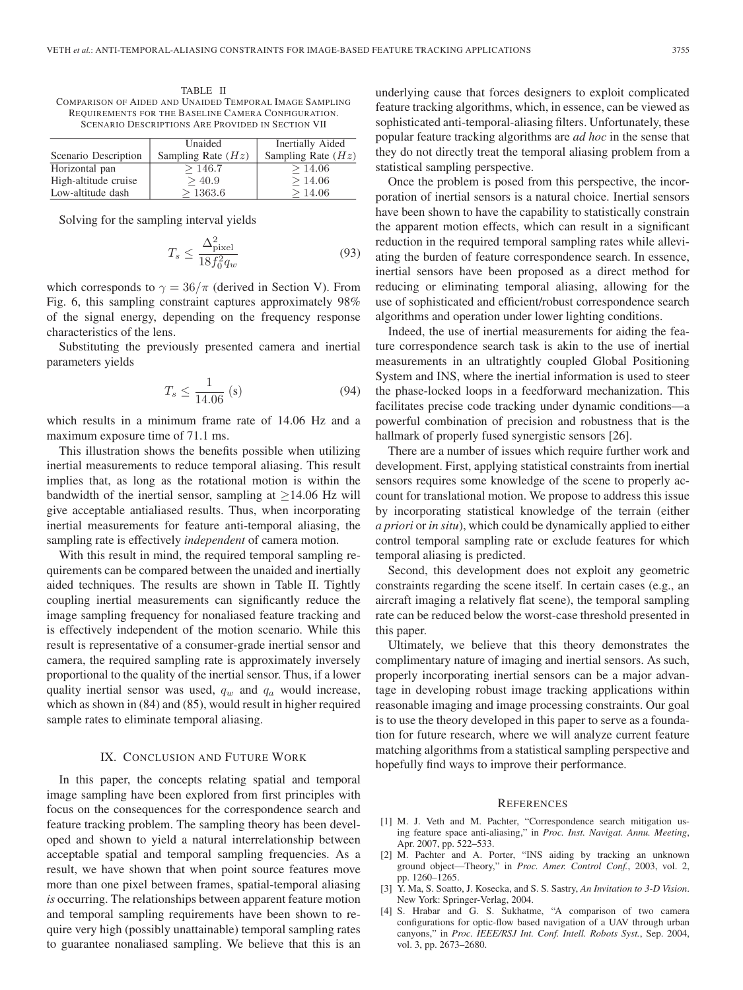TABLE II COMPARISON OF AIDED AND UNAIDED TEMPORAL IMAGE SAMPLING REQUIREMENTS FOR THE BASELINE CAMERA CONFIGURATION. SCENARIO DESCRIPTIONS ARE PROVIDED IN SECTION VII

|                      | Unaided              | Inertially Aided     |
|----------------------|----------------------|----------------------|
| Scenario Description | Sampling Rate $(Hz)$ | Sampling Rate $(Hz)$ |
| Horizontal pan       | >146.7               | >14.06               |
| High-altitude cruise | $>$ 40.9             | >14.06               |
| Low-altitude dash    | >1363.6              | >14.06               |

Solving for the sampling interval yields

$$
T_s \le \frac{\Delta_{\text{pixel}}^2}{18f_0^2 q_w} \tag{93}
$$

which corresponds to  $\gamma = 36/\pi$  (derived in Section V). From Fig. 6, this sampling constraint captures approximately 98% of the signal energy, depending on the frequency response characteristics of the lens.

Substituting the previously presented camera and inertial parameters yields

$$
T_s \le \frac{1}{14.06} \text{ (s)}\tag{94}
$$

which results in a minimum frame rate of 14.06 Hz and a maximum exposure time of 71.1 ms.

This illustration shows the benefits possible when utilizing inertial measurements to reduce temporal aliasing. This result implies that, as long as the rotational motion is within the bandwidth of the inertial sensor, sampling at  $\geq$ 14.06 Hz will give acceptable antialiased results. Thus, when incorporating inertial measurements for feature anti-temporal aliasing, the sampling rate is effectively *independent* of camera motion.

With this result in mind, the required temporal sampling requirements can be compared between the unaided and inertially aided techniques. The results are shown in Table II. Tightly coupling inertial measurements can significantly reduce the image sampling frequency for nonaliased feature tracking and is effectively independent of the motion scenario. While this result is representative of a consumer-grade inertial sensor and camera, the required sampling rate is approximately inversely proportional to the quality of the inertial sensor. Thus, if a lower quality inertial sensor was used,  $q_w$  and  $q_a$  would increase, which as shown in (84) and (85), would result in higher required sample rates to eliminate temporal aliasing.

## IX. CONCLUSION AND FUTURE WORK

In this paper, the concepts relating spatial and temporal image sampling have been explored from first principles with focus on the consequences for the correspondence search and feature tracking problem. The sampling theory has been developed and shown to yield a natural interrelationship between acceptable spatial and temporal sampling frequencies. As a result, we have shown that when point source features move more than one pixel between frames, spatial-temporal aliasing *is* occurring. The relationships between apparent feature motion and temporal sampling requirements have been shown to require very high (possibly unattainable) temporal sampling rates to guarantee nonaliased sampling. We believe that this is an underlying cause that forces designers to exploit complicated feature tracking algorithms, which, in essence, can be viewed as sophisticated anti-temporal-aliasing filters. Unfortunately, these popular feature tracking algorithms are *ad hoc* in the sense that they do not directly treat the temporal aliasing problem from a statistical sampling perspective.

Once the problem is posed from this perspective, the incorporation of inertial sensors is a natural choice. Inertial sensors have been shown to have the capability to statistically constrain the apparent motion effects, which can result in a significant reduction in the required temporal sampling rates while alleviating the burden of feature correspondence search. In essence, inertial sensors have been proposed as a direct method for reducing or eliminating temporal aliasing, allowing for the use of sophisticated and efficient/robust correspondence search algorithms and operation under lower lighting conditions.

Indeed, the use of inertial measurements for aiding the feature correspondence search task is akin to the use of inertial measurements in an ultratightly coupled Global Positioning System and INS, where the inertial information is used to steer the phase-locked loops in a feedforward mechanization. This facilitates precise code tracking under dynamic conditions—a powerful combination of precision and robustness that is the hallmark of properly fused synergistic sensors [26].

There are a number of issues which require further work and development. First, applying statistical constraints from inertial sensors requires some knowledge of the scene to properly account for translational motion. We propose to address this issue by incorporating statistical knowledge of the terrain (either *a priori* or *in situ*), which could be dynamically applied to either control temporal sampling rate or exclude features for which temporal aliasing is predicted.

Second, this development does not exploit any geometric constraints regarding the scene itself. In certain cases (e.g., an aircraft imaging a relatively flat scene), the temporal sampling rate can be reduced below the worst-case threshold presented in this paper.

Ultimately, we believe that this theory demonstrates the complimentary nature of imaging and inertial sensors. As such, properly incorporating inertial sensors can be a major advantage in developing robust image tracking applications within reasonable imaging and image processing constraints. Our goal is to use the theory developed in this paper to serve as a foundation for future research, where we will analyze current feature matching algorithms from a statistical sampling perspective and hopefully find ways to improve their performance.

#### **REFERENCES**

- [1] M. J. Veth and M. Pachter, "Correspondence search mitigation using feature space anti-aliasing," in *Proc. Inst. Navigat. Annu. Meeting*, Apr. 2007, pp. 522–533.
- [2] M. Pachter and A. Porter, "INS aiding by tracking an unknown ground object—Theory," in *Proc. Amer. Control Conf.*, 2003, vol. 2, pp. 1260–1265.
- [3] Y. Ma, S. Soatto, J. Kosecka, and S. S. Sastry, *An Invitation to 3-D Vision*. New York: Springer-Verlag, 2004.
- [4] S. Hrabar and G. S. Sukhatme, "A comparison of two camera configurations for optic-flow based navigation of a UAV through urban canyons," in *Proc. IEEE/RSJ Int. Conf. Intell. Robots Syst.*, Sep. 2004, vol. 3, pp. 2673–2680.